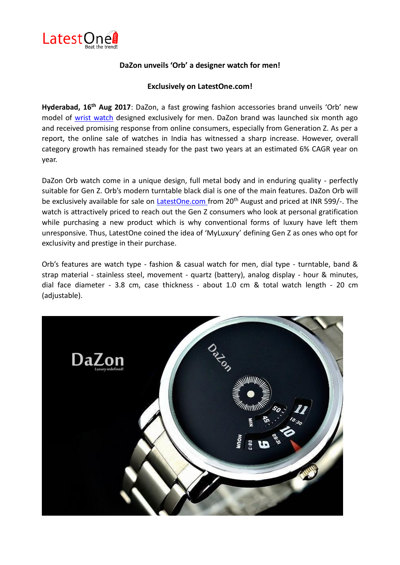

## **DaZon unveils 'Orb' a designer watch for men!**

## **Exclusively on LatestOne.com!**

**Hyderabad, 16th Aug 2017**: DaZon, a fast growing fashion accessories brand unveils 'Orb' new model of [wrist watch](http://www.latestone.com/wilon-original-turntable-dial-quartz-watch-mens-steel-strip-black) designed exclusively for men. DaZon brand was launched six month ago and received promising response from online consumers, especially from Generation Z. As per a report, the online sale of watches in India has witnessed a sharp increase. However, overall category growth has remained steady for the past two years at an estimated 6% CAGR year on year.

DaZon Orb watch come in a unique design, full metal body and in enduring quality - perfectly suitable for Gen Z. Orb's modern turntable black dial is one of the main features. DaZon Orb will be exclusively available for sale on [LatestOne.com f](http://www.latestone.com/watches)rom 20<sup>th</sup> August and priced at INR 599/-. The watch is attractively priced to reach out the Gen Z consumers who look at personal gratification while purchasing a new product which is why conventional forms of luxury have left them unresponsive. Thus, LatestOne coined the idea of 'MyLuxury' defining Gen Z as ones who opt for exclusivity and prestige in their purchase.

Orb's features are watch type - fashion & casual watch for men, dial type - turntable, band & strap material - stainless steel, movement - quartz (battery), analog display - hour & minutes, dial face diameter - 3.8 cm, case thickness - about 1.0 cm & total watch length - 20 cm (adjustable).